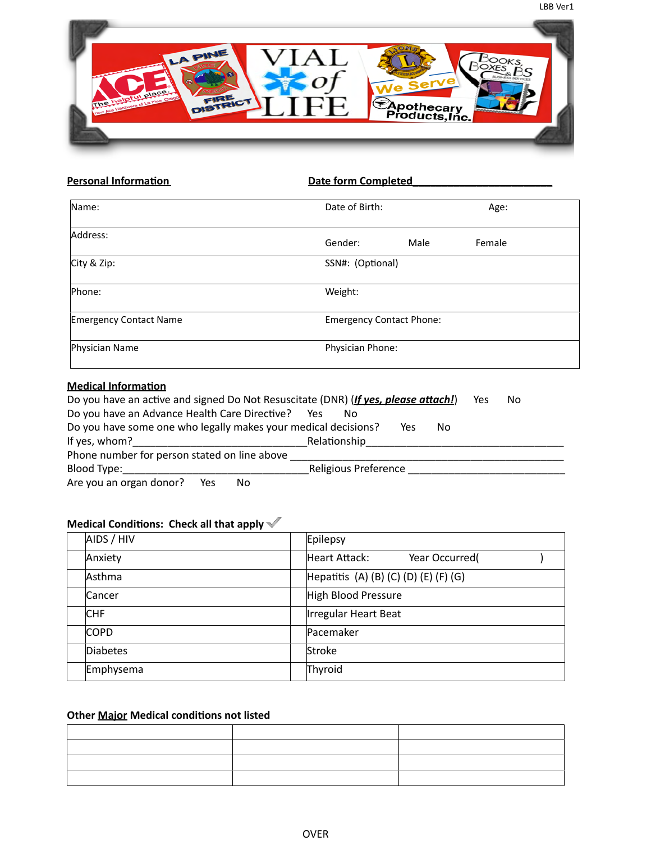

## **Personal Informa-on Date form Completed\_\_\_\_\_\_\_\_\_\_\_\_\_\_\_\_\_\_\_\_\_\_\_\_**

| Name:                         | Date of Birth:                  | Age:           |
|-------------------------------|---------------------------------|----------------|
| Address:                      | Gender:                         | Male<br>Female |
| City & Zip:                   | SSN#: (Optional)                |                |
| Phone:                        | Weight:                         |                |
| <b>Emergency Contact Name</b> | <b>Emergency Contact Phone:</b> |                |
| Physician Name                | Physician Phone:                |                |

## **Medical Information**

| Do you have an active and signed Do Not Resuscitate (DNR) (If yes, please attach!) | Yes<br>No.           |  |  |  |
|------------------------------------------------------------------------------------|----------------------|--|--|--|
| Do you have an Advance Health Care Directive? Yes                                  | No.                  |  |  |  |
| Do you have some one who legally makes your medical decisions?                     | Yes<br>No            |  |  |  |
| If yes, whom?                                                                      | Relationship         |  |  |  |
| Phone number for person stated on line above                                       |                      |  |  |  |
| Blood Type:                                                                        | Religious Preference |  |  |  |
| Are you an organ donor? Yes<br>No                                                  |                      |  |  |  |

# Medical Conditions: Check all that apply **varity**

| AIDS / HIV  | Epilepsy                              |
|-------------|---------------------------------------|
| Anxiety     | Heart Attack:<br>Year Occurred(       |
| Asthma      | Hepatitis (A) (B) (C) (D) (E) (F) (G) |
| Cancer      | High Blood Pressure                   |
| <b>CHF</b>  | Irregular Heart Beat                  |
| <b>COPD</b> | Pacemaker                             |
| Diabetes    | Stroke                                |
| Emphysema   | Thyroid                               |

## **Other Major Medical conditions not listed**